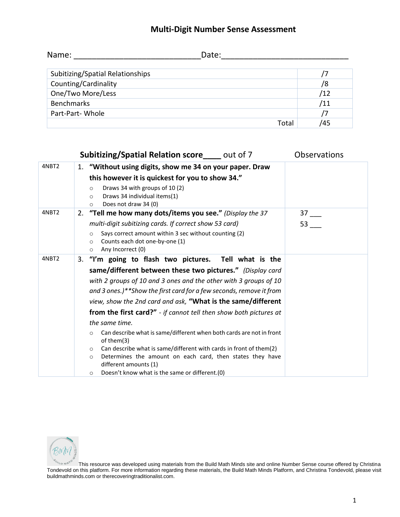## **Multi-Digit Number Sense Assessment**

| Name:                            | Date: |     |
|----------------------------------|-------|-----|
| Subitizing/Spatial Relationships |       |     |
| Counting/Cardinality             |       | /8  |
| One/Two More/Less                |       | /12 |
| <b>Benchmarks</b>                |       | /11 |
| Part-Part-Whole                  |       | 7   |
|                                  | Total | 45  |

|       | <b>Subitizing/Spatial Relation score</b> _____ out of 7                                                                 | Observations |
|-------|-------------------------------------------------------------------------------------------------------------------------|--------------|
| 4NBT2 | 1. "Without using digits, show me 34 on your paper. Draw                                                                |              |
|       | this however it is quickest for you to show 34."                                                                        |              |
|       | Draws 34 with groups of 10 (2)<br>$\circ$<br>Draws 34 individual items(1)<br>$\circ$<br>Does not draw 34 (0)<br>$\circ$ |              |
| 4NBT2 | 2. "Tell me how many dots/items you see." (Display the 37                                                               | 37           |
|       | multi-digit subitizing cards. If correct show 53 card)                                                                  | 53           |
|       | Says correct amount within 3 sec without counting (2)<br>$\circ$                                                        |              |
|       | Counts each dot one-by-one (1)<br>$\circ$<br>Any Incorrect (0)<br>$\circ$                                               |              |
| 4NBT2 | 3. "I'm going to flash two pictures. Tell what is the                                                                   |              |
|       | same/different between these two pictures." (Display card                                                               |              |
|       | with 2 groups of 10 and 3 ones and the other with 3 groups of 10                                                        |              |
|       | and 3 ones.)**Show the first card for a few seconds, remove it from                                                     |              |
|       | view, show the 2nd card and ask, "What is the same/different                                                            |              |
|       | from the first card?" - if cannot tell then show both pictures at                                                       |              |
|       | the same time.                                                                                                          |              |
|       | Can describe what is same/different when both cards are not in front<br>$\circ$<br>of them(3)                           |              |
|       | Can describe what is same/different with cards in front of them(2)<br>$\circ$                                           |              |
|       | Determines the amount on each card, then states they have<br>$\circ$<br>different amounts (1)                           |              |
|       | Doesn't know what is the same or different.(0)<br>$\circ$                                                               |              |

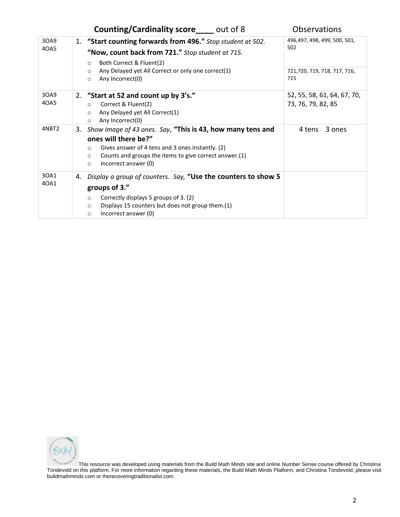|              | <b>Counting/Cardinality score</b> _____ out of 8                                                                                                                                                                                                             | <b>Observations</b>                               |
|--------------|--------------------------------------------------------------------------------------------------------------------------------------------------------------------------------------------------------------------------------------------------------------|---------------------------------------------------|
| 30A9<br>40A5 | 1. "Start counting forwards from 496." Stop student at 502.<br>"Now, count back from 721." Stop student at 715.<br>Both Correct & Fluent(2)<br>$\circ$                                                                                                       | 496,497, 498, 499, 500, 501,<br>502               |
|              | Any Delayed yet All Correct or only one correct(1)<br>$\circ$<br>Any Incorrect(0)<br>$\circ$                                                                                                                                                                 | 721,720, 719, 718, 717, 716,<br>715               |
| 30A9<br>40A5 | 2. "Start at 52 and count up by 3's."<br>Correct & Fluent(2)<br>$\circ$<br>Any Delayed yet All Correct(1)<br>$\circ$<br>Any Incorrect(0)<br>$\circ$                                                                                                          | 52, 55, 58, 61, 64, 67, 70,<br>73, 76, 79, 82, 85 |
| 4NBT2        | 3. Show image of 43 ones. Say, "This is 43, how many tens and<br>ones will there be?"<br>Gives answer of 4 tens and 3 ones instantly. (2)<br>$\circ$<br>Counts and groups the items to give correct answer.(1)<br>$\circ$<br>Incorrect answer (0)<br>$\circ$ | 3 ones<br>4 tens                                  |
| 30A1<br>40A1 | Display a group of counters. Say, "Use the counters to show 5<br>4.<br>groups of 3."<br>Correctly displays 5 groups of 3. (2)<br>$\circ$<br>Displays 15 counters but does not group them.(1)<br>$\circ$<br>Incorrect answer (0)<br>$\circ$                   |                                                   |

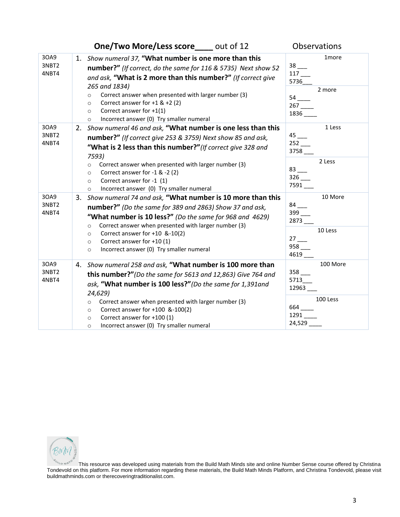|                        | One/Two More/Less score____ out of 12                                                                                                                                                                                                                                                                                                                                                                                            | Observations                                                                                      |
|------------------------|----------------------------------------------------------------------------------------------------------------------------------------------------------------------------------------------------------------------------------------------------------------------------------------------------------------------------------------------------------------------------------------------------------------------------------|---------------------------------------------------------------------------------------------------|
| 30A9<br>3NBT2<br>4NBT4 | Show numeral 37, "What number is one more than this<br>1.<br>number?" (If correct, do the same for 116 & 5735) Next show 52<br>and ask, "What is 2 more than this number?" (If correct give<br>265 and 1834)<br>Correct answer when presented with larger number (3)<br>$\circ$<br>Correct answer for $+1$ & $+2$ (2)<br>$\circ$<br>Correct answer for $+1(1)$<br>$\circ$<br>Incorrect answer (0) Try smaller numeral<br>$\circ$ | 1more<br>$38$ <sub>--</sub><br>117<br>5736<br>2 more<br>$54$ $-$<br>$267$ <sub>____</sub><br>1836 |
| 30A9<br>3NBT2<br>4NBT4 | Show numeral 46 and ask, "What number is one less than this<br>2.<br>number?" (If correct give 253 & 3759) Next show 85 and ask,<br>"What is 2 less than this number?" (If correct give 328 and<br>7593)<br>Correct answer when presented with larger number (3)<br>$\circ$<br>Correct answer for -1 & -2 (2)<br>$\circ$<br>Correct answer for -1 (1)<br>$\circ$<br>Incorrect answer (0) Try smaller numeral<br>$\circ$          | 1 Less<br>$45$ <sub>---</sub><br>3758<br>2 Less<br>$83$ <sub>---</sub><br>7591___                 |
| 30A9<br>3NBT2<br>4NBT4 | Show numeral 74 and ask, "What number is 10 more than this<br>3.<br>number?" (Do the same for 389 and 2863) Show 37 and ask,<br>"What number is 10 less?" (Do the same for 968 and 4629)<br>Correct answer when presented with larger number (3)<br>$\circ$<br>Correct answer for +10 &-10(2)<br>$\circ$<br>Correct answer for +10 (1)<br>$\circ$<br>Incorrect answer (0) Try smaller numeral<br>$\circ$                         | 10 More<br>$84$ $-$<br>$399$ $-$<br>$2873$ $-$<br>10 Less<br>27<br>$958$ $-$<br>4619_             |
| 30A9<br>3NBT2<br>4NBT4 | 4. Show numeral 258 and ask, "What number is 100 more than<br>this number?"(Do the same for 5613 and 12,863) Give 764 and<br>ask, "What number is 100 less?" (Do the same for 1,391 and<br>24,629)<br>Correct answer when presented with larger number (3)<br>$\circ$<br>Correct answer for +100 &-100(2)<br>$\circ$<br>Correct answer for +100 (1)<br>$\circ$<br>Incorrect answer (0) Try smaller numeral<br>$\circ$            | 100 More<br>$358$ $\_\_\_\_\$<br>5713<br>12963<br>100 Less<br>664<br>1291                         |

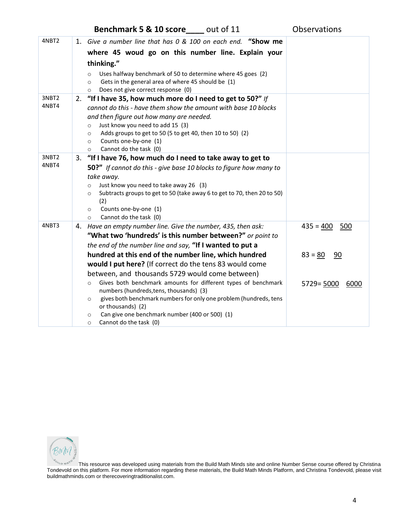| <b>Benchmark 5 &amp; 10 score</b> | out of 11 | <b>Observations</b> |
|-----------------------------------|-----------|---------------------|
|-----------------------------------|-----------|---------------------|

| 4NBT2          |    | 1. Give a number line that has 0 & 100 on each end. "Show me                                      |                       |
|----------------|----|---------------------------------------------------------------------------------------------------|-----------------------|
|                |    | where 45 woud go on this number line. Explain your                                                |                       |
|                |    | thinking."                                                                                        |                       |
|                |    | Uses halfway benchmark of 50 to determine where 45 goes (2)<br>$\circ$                            |                       |
|                |    | Gets in the general area of where 45 should be (1)<br>$\circ$                                     |                       |
|                |    | Does not give correct response (0)<br>$\circ$                                                     |                       |
| 3NBT2<br>4NBT4 | 2. | "If I have 35, how much more do I need to get to 50?" If                                          |                       |
|                |    | cannot do this - have them show the amount with base 10 blocks                                    |                       |
|                |    | and then figure out how many are needed.<br>Just know you need to add 15 (3)                      |                       |
|                |    | $\circ$<br>Adds groups to get to 50 (5 to get 40, then 10 to 50) (2)<br>$\circ$                   |                       |
|                |    | Counts one-by-one (1)<br>$\circ$                                                                  |                       |
|                |    | Cannot do the task (0)<br>$\circ$                                                                 |                       |
| 3NBT2          | 3. | "If I have 76, how much do I need to take away to get to                                          |                       |
| 4NBT4          |    | <b>50?"</b> If cannot do this - give base 10 blocks to figure how many to                         |                       |
|                |    | take away.                                                                                        |                       |
|                |    | Just know you need to take away 26 (3)<br>$\circ$                                                 |                       |
|                |    | Subtracts groups to get to 50 (take away 6 to get to 70, then 20 to 50)<br>$\circ$                |                       |
|                |    | (2)<br>Counts one-by-one (1)<br>$\circ$                                                           |                       |
|                |    | Cannot do the task (0)<br>$\circ$                                                                 |                       |
| 4NBT3          |    | 4. Have an empty number line. Give the number, 435, then ask:                                     | $435 = 400$<br>500    |
|                |    | "What two 'hundreds' is this number between?" or point to                                         |                       |
|                |    | the end of the number line and say, "If I wanted to put a                                         |                       |
|                |    | hundred at this end of the number line, which hundred                                             | $83 = 80$<br>90       |
|                |    | would I put here? (If correct do the tens 83 would come                                           |                       |
|                |    | between, and thousands 5729 would come between)                                                   |                       |
|                |    | Gives both benchmark amounts for different types of benchmark<br>$\circ$                          | $5729 = 5000$<br>6000 |
|                |    | numbers (hundreds, tens, thousands) (3)                                                           |                       |
|                |    | gives both benchmark numbers for only one problem (hundreds, tens<br>$\circ$<br>or thousands) (2) |                       |
|                |    | Can give one benchmark number (400 or 500) (1)<br>$\circ$                                         |                       |
|                |    | Cannot do the task (0)<br>$\circ$                                                                 |                       |

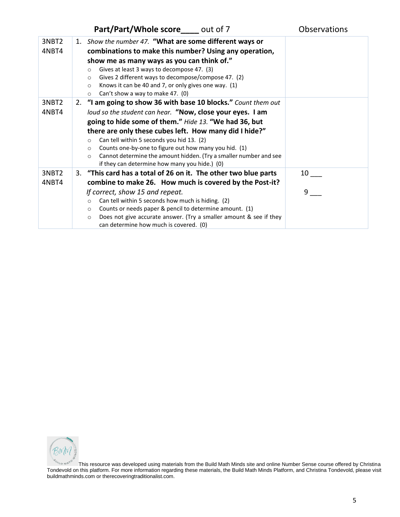## **Part/Part/Whole score\_\_\_\_** out of 7 Observations

| 3NBT2<br>4NBT4 | 1. Show the number 47. "What are some different ways or<br>combinations to make this number? Using any operation,<br>show me as many ways as you can think of."<br>Gives at least 3 ways to decompose 47. (3)<br>$\circ$<br>Gives 2 different ways to decompose/compose 47. (2)<br>$\circ$<br>Knows it can be 40 and 7, or only gives one way. (1)<br>$\circ$<br>Can't show a way to make 47. (0)<br>$\circ$ |    |
|----------------|--------------------------------------------------------------------------------------------------------------------------------------------------------------------------------------------------------------------------------------------------------------------------------------------------------------------------------------------------------------------------------------------------------------|----|
| 3NBT2          | 2. "I am going to show 36 with base 10 blocks." Count them out                                                                                                                                                                                                                                                                                                                                               |    |
| 4NBT4          | loud so the student can hear. "Now, close your eyes. I am                                                                                                                                                                                                                                                                                                                                                    |    |
|                | going to hide some of them." Hide 13. "We had 36, but                                                                                                                                                                                                                                                                                                                                                        |    |
|                | there are only these cubes left. How many did I hide?"                                                                                                                                                                                                                                                                                                                                                       |    |
|                | Can tell within 5 seconds you hid 13. (2)<br>$\circ$                                                                                                                                                                                                                                                                                                                                                         |    |
|                | Counts one-by-one to figure out how many you hid. (1)<br>$\circ$                                                                                                                                                                                                                                                                                                                                             |    |
|                | Cannot determine the amount hidden. (Try a smaller number and see<br>$\circ$                                                                                                                                                                                                                                                                                                                                 |    |
|                | if they can determine how many you hide.) (0)                                                                                                                                                                                                                                                                                                                                                                |    |
| 3NBT2          | 3. "This card has a total of 26 on it. The other two blue parts                                                                                                                                                                                                                                                                                                                                              | 10 |
| 4NBT4          | combine to make 26. How much is covered by the Post-it?                                                                                                                                                                                                                                                                                                                                                      |    |
|                | If correct, show 15 and repeat.                                                                                                                                                                                                                                                                                                                                                                              | 9  |
|                | Can tell within 5 seconds how much is hiding. (2)<br>$\circ$                                                                                                                                                                                                                                                                                                                                                 |    |
|                | Counts or needs paper & pencil to determine amount. (1)<br>$\circ$                                                                                                                                                                                                                                                                                                                                           |    |
|                | Does not give accurate answer. (Try a smaller amount & see if they<br>$\circ$<br>can determine how much is covered. (0)                                                                                                                                                                                                                                                                                      |    |

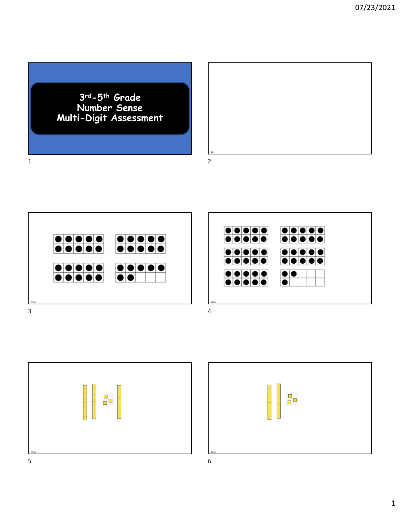3rd-5th Grade Number Sense Multi-Digit Assessment



SR2A SR2B 3





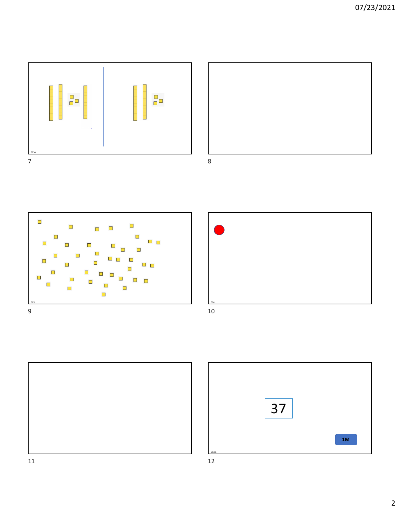









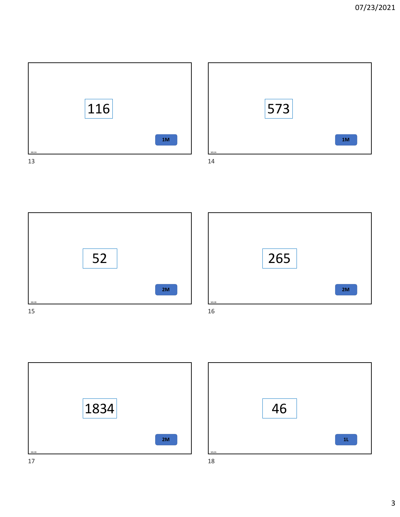









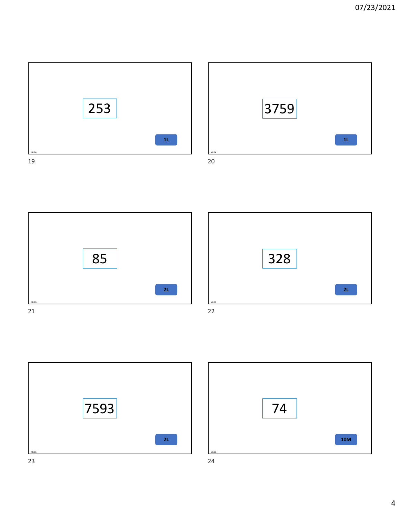









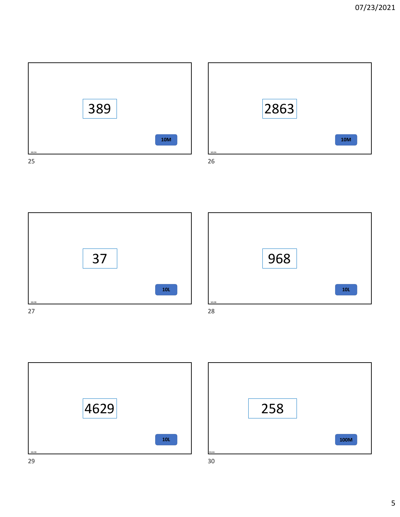









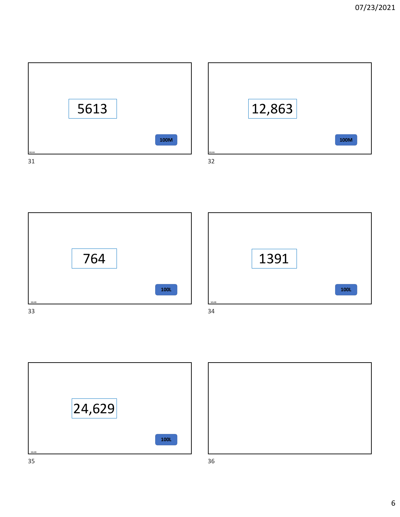









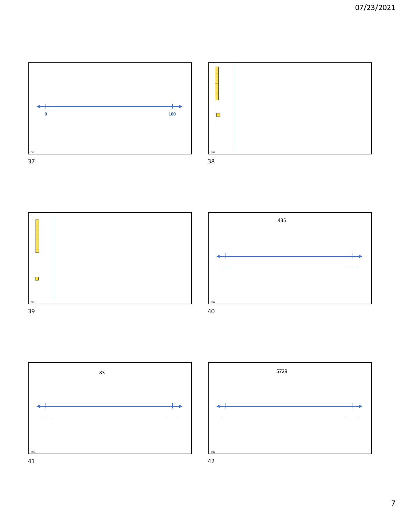